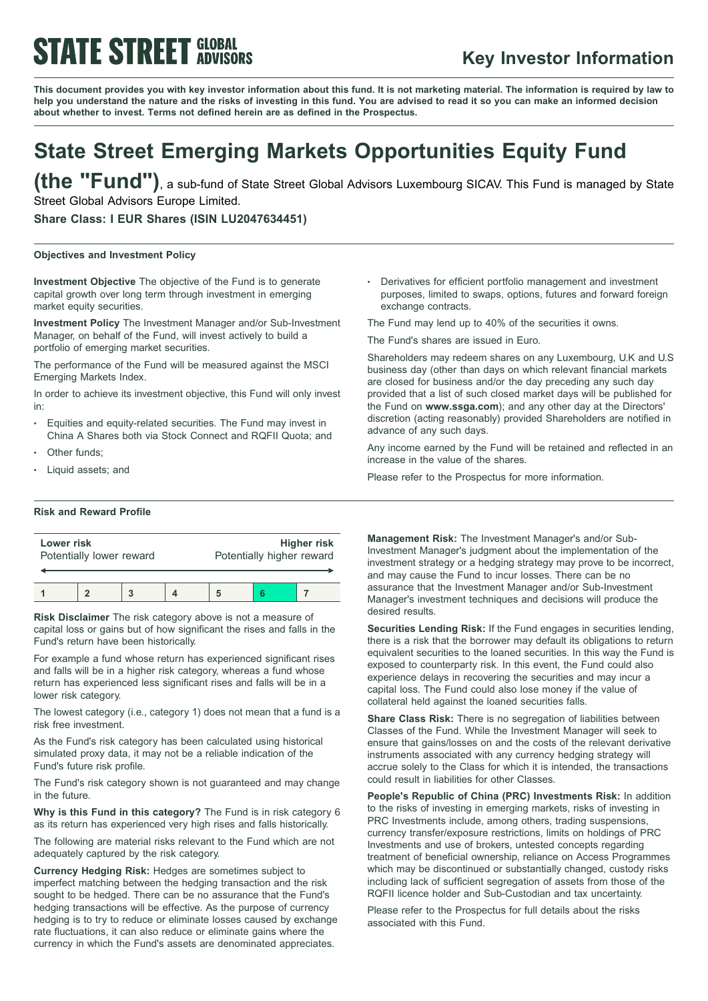# **STATE STREET GLOBAL**

### **Key Investor Information**

This document provides you with key investor information about this fund. It is not marketing material. The information is required by law to help you understand the nature and the risks of investing in this fund. You are advised to read it so you can make an informed decision **about whether to invest. Terms not defined herein are as defined in the Prospectus.**

### **State Street Emerging Markets Opportunities Equity Fund**

**(the "Fund")**, <sup>a</sup> sub-fund of State Street Global Advisors Luxembourg SICAV. This Fund is managed by State Street Global Advisors Europe Limited.

**Share Class: I EUR Shares (ISIN LU2047634451)**

#### **Objectives and Investment Policy**

**Investment Objective** The objective of the Fund is to generate capital growth over long term through investment in emerging market equity securities.

**Investment Policy** The Investment Manager and/or Sub-Investment Manager, on behalf of the Fund, will invest actively to build a portfolio of emerging market securities.

The performance of the Fund will be measured against the MSCI Emerging Markets Index.

In order to achieve its investment objective, this Fund will only invest in:

- Equities and equity-related securities. The Fund may invest in China A Shares both via Stock Connect and RQFII Quota; and
- Other funds:
- Liquid assets; and

#### **Risk and Reward Profile**

| Lower risk               |  |  |  | <b>Higher risk</b>        |  |  |  |
|--------------------------|--|--|--|---------------------------|--|--|--|
| Potentially lower reward |  |  |  | Potentially higher reward |  |  |  |
|                          |  |  |  |                           |  |  |  |

**Risk Disclaimer** The risk category above is not a measure of capital loss or gains but of how significant the rises and falls in the Fund's return have been historically.

For example a fund whose return has experienced significant rises and falls will be in a higher risk category, whereas a fund whose return has experienced less significant rises and falls will be in a lower risk category.

The lowest category (i.e., category 1) does not mean that a fund is a risk free investment.

As the Fund's risk category has been calculated using historical simulated proxy data, it may not be a reliable indication of the Fund's future risk profile.

The Fund's risk category shown is not guaranteed and may change in the future.

**Why is this Fund in this category?** The Fund is in risk category 6 as its return has experienced very high rises and falls historically.

The following are material risks relevant to the Fund which are not adequately captured by the risk category.

**Currency Hedging Risk:** Hedges are sometimes subject to imperfect matching between the hedging transaction and the risk sought to be hedged. There can be no assurance that the Fund's hedging transactions will be effective. As the purpose of currency hedging is to try to reduce or eliminate losses caused by exchange rate fluctuations, it can also reduce or eliminate gains where the currency in which the Fund's assets are denominated appreciates.

<sup>b</sup> Derivatives for efficient portfolio management and investment purposes, limited to swaps, options, futures and forward foreign exchange contracts.

The Fund may lend up to 40% of the securities it owns.

The Fund's shares are issued in Euro.

Shareholders may redeem shares on any Luxembourg, U.K and U.S business day (other than days on which relevant financial markets are closed for business and/or the day preceding any such day provided that a list of such closed market days will be published for the Fund on **www.ssga.com**); and any other day at the Directors' discretion (acting reasonably) provided Shareholders are notified in advance of any such days.

Any income earned by the Fund will be retained and reflected in an increase in the value of the shares.

Please refer to the Prospectus for more information.

**Management Risk:** The Investment Manager's and/or Sub-Investment Manager's judgment about the implementation of the investment strategy or a hedging strategy may prove to be incorrect, and may cause the Fund to incur losses. There can be no assurance that the Investment Manager and/or Sub-Investment Manager's investment techniques and decisions will produce the desired results.

**Securities Lending Risk:** If the Fund engages in securities lending, there is a risk that the borrower may default its obligations to return equivalent securities to the loaned securities. In this way the Fund is exposed to counterparty risk. In this event, the Fund could also experience delays in recovering the securities and may incur a capital loss. The Fund could also lose money if the value of collateral held against the loaned securities falls.

**Share Class Risk:** There is no segregation of liabilities between Classes of the Fund. While the Investment Manager will seek to ensure that gains/losses on and the costs of the relevant derivative instruments associated with any currency hedging strategy will accrue solely to the Class for which it is intended, the transactions could result in liabilities for other Classes.

**People's Republic of China (PRC) Investments Risk:** In addition to the risks of investing in emerging markets, risks of investing in PRC Investments include, among others, trading suspensions, currency transfer/exposure restrictions, limits on holdings of PRC Investments and use of brokers, untested concepts regarding treatment of beneficial ownership, reliance on Access Programmes which may be discontinued or substantially changed, custody risks including lack of sufficient segregation of assets from those of the RQFII licence holder and Sub-Custodian and tax uncertainty.

Please refer to the Prospectus for full details about the risks associated with this Fund.